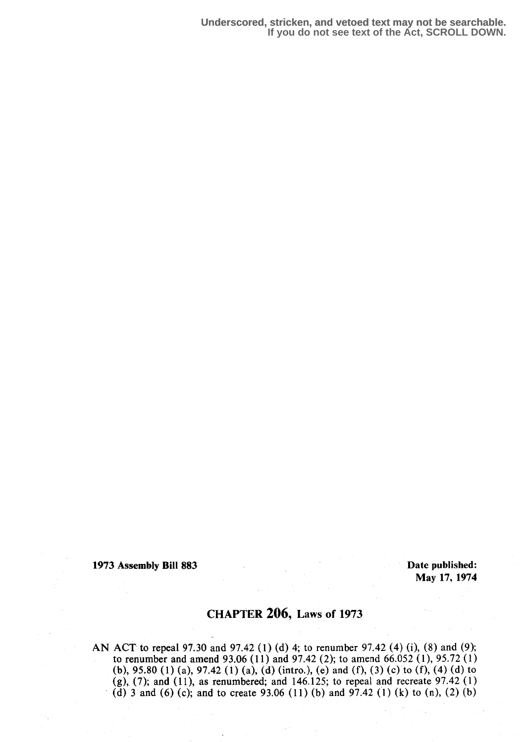**Underscored, stricken, and vetoed text may not be searchable. If you do not see text of the Act, SCROLL DOWN.**

1973 Assembly Bill 883 Date published:

May 17, 1974

# CHAPTER 206, Laws of 1973

AN ACT to repeal 97.30 and 97.42 (1) (d) 4; to renumber 97.42 (4) (i), (8) and (9); to renumber and amend 93.06 (11) and 97.42 (2); to amend 66.052 (1), 95 .72 (1) (b), 95.80 (1) (a), 97.42 (1) (a); (d) (intro.), (e) and (f), (3) (c) to (f), (4) (d) to (g),  $(7)$ ; and  $(11)$ , as renumbered; and 146.125; to repeal and recreate 97.42  $(1)$ (d) 3 and (6) (c); and to create 93.06 (11) (b) and 97.42 (1) (k) to (n), (2) (b)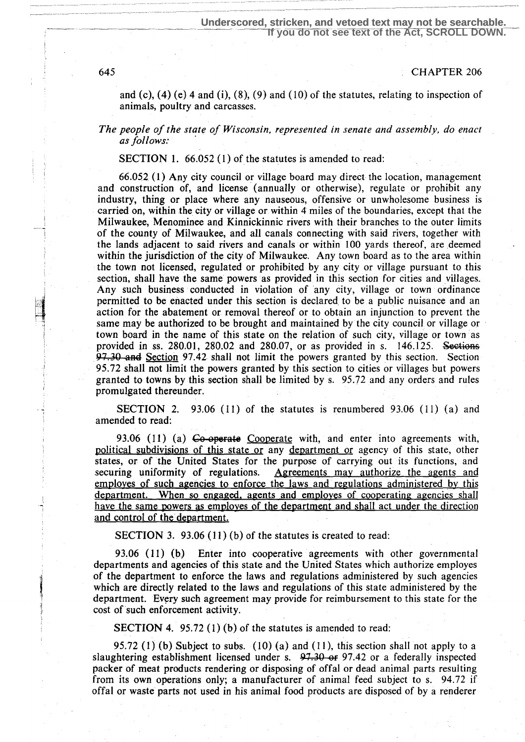645 CHAPTER 206

and (c),  $(4)$  (e) 4 and (i),  $(8)$ ,  $(9)$  and  $(10)$  of the statutes, relating to inspection of animals, poultry and carcasses.

The people of the state of Wisconsin, represented in senate and assembly, do enact as follows:

SECTION 1. 66.052 (1) of the statutes is amended to read:

66.052 (1) Any city council or village board may direct the location, management and construction of, and license (annually or otherwise), regulate or prohibit any industry, thing or place where any nauseous, offensive or unwholesome business is carried on, within the city or village or within 4 miles of the boundaries, except that the Milwaukee, Menominee and Kinnickinnic rivers with their branches to the outer limits of the county of Milwaukee, and all canals connecting with said rivers, together with the lands adjacent to said rivers and canals or within 100 yards thereof, are deemed within the jurisdiction of the city of Milwaukee. Any town board as to the area within the town not licensed, regulated or prohibited by any city or village pursuant to this section, shall have the same powers as provided in this section for cities and villages. Any such business conducted in violation of any city, village or town ordinance permitted to be enacted under this section is declared, to be a public nuisance and an action for the abatement or removal thereof or to obtain an injunction to prevent the same may be authorized to be brought and maintained by the city council or village or town board in the name of this state on the relation of such city, village or town as provided in ss. 280.01, 280.02 and 280.07, or as provided in s.  $146.125$ . Sections 97.30 and Section 97.42 shall not limit the powers granted by this section. Section 95.72 shall not limit the powers granted by this section to cities or villages but powers granted to towns by this section shall be limited by s. 95.72 and any orders and rules promulgated thereunder.

SECTION 2. 93.06 (11) of the statutes is renumbered 93.06 (11) (a) and amended to read:

93.06 (11) (a)  $\epsilon_0$ -operate Cooperate with, and enter into agreements with, political subdivisions of this state or any department or agency of this state, other states, or of the United States for the purpose of carrying out its functions, and securing uniformity of regulations. Agreements may authorize the agents and Agreements may authorize the agents and employes of such agencies to enforce the laws and regulations administered by this department. When so engaged, agents and employes of cooperating agencies shall have the same powers as employes of the department and shall act under the direction and control of the department.

SECTION 3. 93.06 (11) (b) of the statutes is created to read:

93.06 (11) (b) Enter into cooperative agreements with other governmental departments and agencies of this state and the United States which authorize employes of the department to enforce the laws and regulations administered by such agencies which are directly related to the laws and regulations of this state administered by the department. Every such agreement may provide for reimbursement to this state for the cost of such enforcement activity.

SECTION 4. 95.72 (1) (b) of the statutes is amended to read:

95.72  $(1)$  (b) Subject to subs.  $(10)$  (a) and  $(11)$ , this section shall not apply to a slaughtering establishment licensed under s.  $97.30 \text{ or } 97.42$  or a federally inspected packer of meat products rendering or disposing of offal or dead animal parts resulting from its own operations only; a manufacturer of animal feed subject to s. 94.72 if offal or waste parts not used in his animal food products are disposed of by a renderer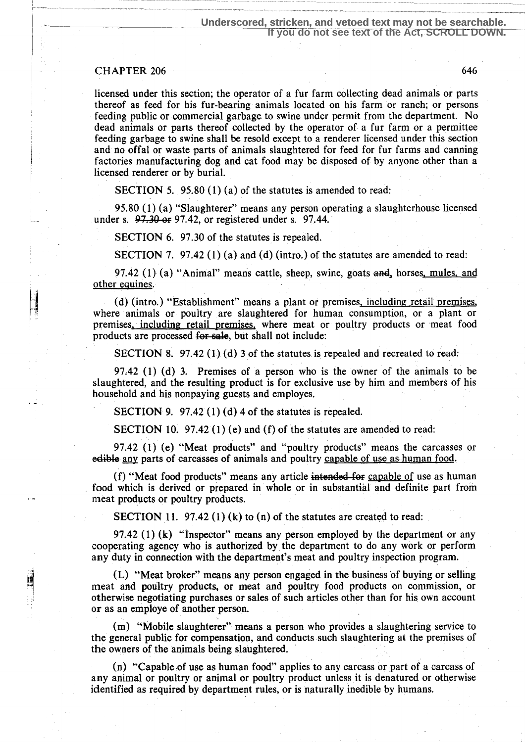#### CHAPTER 206 646

licensed under this section; the operator of a fur farm collecting dead animals or parts thereof as feed for his fur-bearing animals located on his farm or ranch; or persons feeding public or commercial garbage to swine under permit from the department. No dead animals or parts thereof collected by the operator of a fur farm or a permittee feeding garbage to swine shall be resold except to a renderer licensed under this section and no offal or waste parts of animals slaughtered for feed for fur farms and canning factories manufacturing dog and cat food may be disposed of by anyone other than a licensed renderer or by burial.

SECTION 5. 95.80 (1) (a) of the statutes is amended to read:

95 .80 (1) (a) "Slaughterer" means any person operating a slaughterhouse licensed under s.  $97.30$  or 97.42, or registered under s. 97.44.

SECTION 6. 97.30 of the statutes is repealed.

SECTION 7. 97.42 (1) (a) and (d) (intro) of the statutes are amended to read:

97.42 (1) (a) "Animal" means cattle, sheep, swine, goats  $\alpha$ -rd, horses, mules, and other equines.

(d) (intro.) "Establishment" means a plant or premises, including retail premises, where animals or poultry are slaughtered for human consumption, or a plant or premises, including retail premises, where meat or poultry products or meat food products are processed for sale, but shall not include:

SECTION 8. 97.42  $(1)$   $(d)$  3 of the statutes is repealed and recreated to read:

97:42 (1) (d) 3. Premises of a person who is the owner of the animals to be slaughtered, and the resulting product is for exclusive use by him and members of his household and his nonpaying guests and employes.

SECTION 9. 97.42 (1) (d) 4 of the statutes is repealed.

SECTION 10. 97.42 (1) (e) and (f) of the statutes are amended to read:

97.42 (1) (e) "Meat products" and "poultry products" means the carcasses or edible any parts of carcasses of animals and poultry capable of use as human food.

(f) "Meat food products" means any article intended-for capable of use as human food which is derived or prepared in whole or in substantial and definite part from meat products or poultry products.

SECTION 11. 97.42 (1) (k) to  $(n)$  of the statutes are created to read:

97.42 (1) (k) "Inspector" means any person employed by the department or any cooperating agency who is authorized by the department to do any work or perform any duty in connection with the department's meat and poultry inspection program.

(L) "Meat broker" means any person engaged in the business of buying or selling meat and poultry products, or meat and poultry food products on commission, or otherwise negotiating purchases or sales of such articles other than for his. own account or as an employe of another person.

(m) "Mobile slaughterer" means a person who provides a slaughtering service to the general public for compensation, and conducts such slaughtering at the premises of the owners of the animals being slaughtered.

(n) "Capable of use as human food" applies to any carcass or part of a carcass of any animal or poultry or animal or poultry product unless it is denatured or otherwise identified as required by department rules, or is naturally inedible by humans.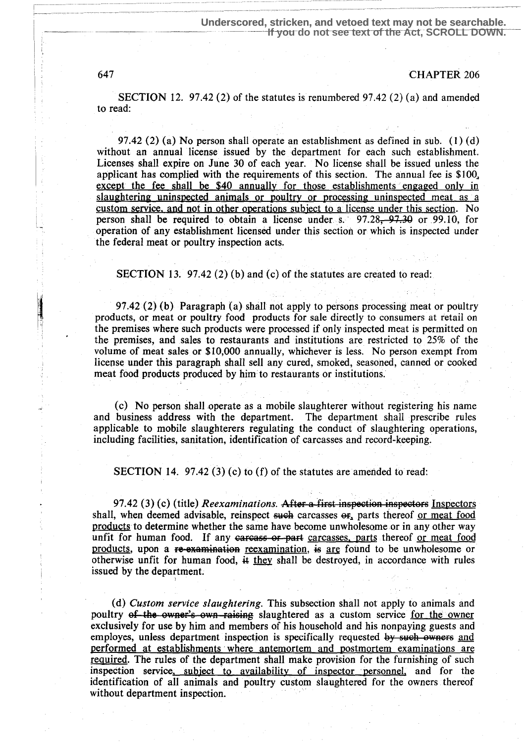647 CHAPTER 206

SECTION 12. 97.42 (2) of the statutes is renumbered 97.42 (2) (a) and amended to read:

97.42 (2) (a) No person shall operate an establishment as defined in sub. (1) (d) without an annual license issued by the department for each such establishment. Licenses shall expire on June 30 of each year. No license shall be issued unless the applicant has complied with the requirements of this section. The annual fee is \$100, except the fee shall be \$40 annually for those establishments engaged only in slaughtering uninspected animals or poultry or processing uninspected meat as a custom service, and not in other operations subject to a license under this section. No person shall be required to obtain a license under s.  $97.28$ ,  $97.39$  or  $99.10$ , for operation of any establishment licensed under this section or which is inspected under the federal meat or poultry inspection acts.

SECTION 13. 97.42 (2) (b) and (c) of the statutes are created to read:

97.42 (2) (b) Paragraph (a) shall not apply to persons processing meat or poultry products, or meat or poultry food products for sale directly to consumers at retail on the premises where such products were processed if only inspected meat is permitted on the premises, and sales to restaurants and institutions are restricted to 25% of the volume of meat sales or \$10,000 annually, whichever is less . No person exempt from license under this paragraph shall sell any cured, smoked, seasoned, canned or cooked meat food products produced by him to restaurants or institutions :

(c) No person shall operate as a mobile slaughterer without registering his name and business address with the department . The department shall prescribe rules applicable to mobile slaughterers regulating the conduct of slaughtering operations, including facilities, sanitation, identification of carcasses and record-keeping.

SECTION 14. 97.42 (3) (c) to (f) of the statutes are amended to read:

97.42 (3) (c) (title) Reexaminations. After a first inspection inspectors Inspectors shall, when deemed advisable, reinspect such carcasses or, parts thereof or meat food products to determine whether the same have become unwholesome or in any other way unfit for human food. If any carcass or part carcasses, parts thereof or meat food products, upon a re-examination reexamination, is are found to be unwholesome or otherwise unfit for human food,  $\ddot{a}$  they shall be destroyed, in accordance with rules issued by the department.

(d) Custom service slaughtering. This subsection shall not apply to animals and poultry of the owner's own raising slaughtered as a custom service for the owner exclusively for use by him and members of his household and his nonpaying guests and employes, unless department inspection is specifically requested by such owners and performed at establishments where antemortem and postmortem examinations are required. The rules of the department shall make provision for the furnishing of such inspection service, subject to availability of inspector personnel, and for the identification of all animals and poultry custom slaughtered for the owners thereof without department inspection.

<sup>I</sup>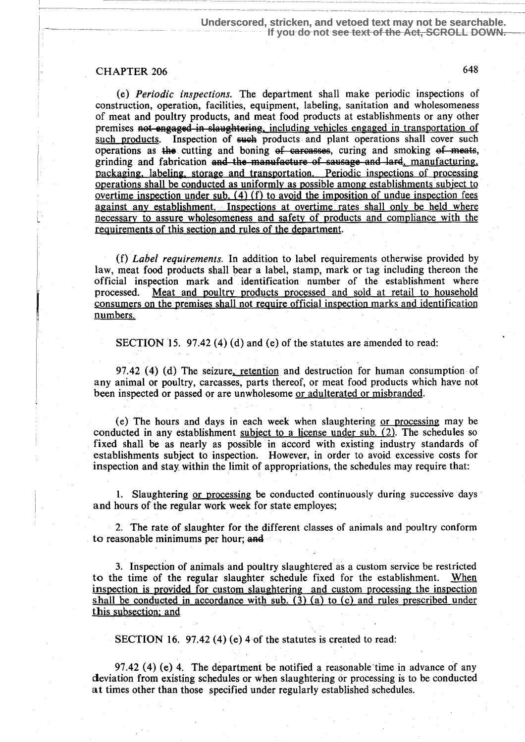### CHAPTER 206 648

(e) Periodic inspections. The department shall make periodic inspections of construction, operation, facilities, equipment, labeling, sanitation and wholesomeness of meat and poultry products, and meat food products at establishments or any other premises not engaged in slaughtering, including vehicles engaged in transportation of such products. Inspection of such products and plant operations shall cover such Inspection of such products and plant operations shall cover such operations as the cutting and boning  $of$  carcasses, curing and smoking  $of$  meats, grinding and fabrication and the manufacture of sausage and lard, manufacturing, packaging, labeling, storage and transportation. Periodic inspections of processing operations shall be conducted as uniformly as possible among establishments subject to overtime inspection under sub.  $(4)$  (f) to avoid the imposition of undue inspection fees against any establishment. Inspections at overtime rates shall only be held where necessary to assure wholesomeness and safety of products and compliance with the requirements of this section and rules of the department.

(f) Label requirements. In addition to label requirements otherwise provided by law, meat food products shall bear a label, stamp, mark or tag including thereon the official inspection mark and identification number of the establishment where processed. Meat and poultry products processed and sold at retail to household Meat and poultry products processed and sold at retail to household consumers on the premises shall not require official inspection marks and identification numbers.

SECTION 15. 97.42 (4) (d) and (e) of the statutes are amended to read:

97.42  $(4)$  (d) The seizure, retention and destruction for human consumption of any animal or poultry, carcasses, parts thereof, or meat food products which have not been inspected or passed or are unwholesome or adulterated or misbranded.

(e) The hours and days in each week when slaughtering or processing may be conducted in any establishment subject to a license under sub. (2). The schedules so fixed shall be as nearly as possible in accord with existing industry standards of establishments subject to inspection. However, in order to avoid excessive costs for inspection and stay, within the limit of appropriations, the schedules may require that:

1. Slaughtering or processing be conducted continuously during successive days and hours of the regular work week for state employes;

2. The rate of slaughter for the different classes of animals and poultry conform to reasonable minimums per hour; and

3. Inspection of animals and poultry slaughtered as a custom service be restricted to the time of the regular slaughter schedule fixed for the establishment. When inspection is provided for custom slaughtering and custom processing the inspection shall be conducted in accordance with sub.  $(3)$  (a) to (c) and rules prescribed under this subsection; and

SECTION 16. 97.42 (4) (e) 4 of the statutes is created to read:

97.42  $(4)$  (e) 4. The department be notified a reasonable time in advance of any deviation from existing schedules or when slaughtering or processing is to be conducted at times other than those specified under regularly established schedules.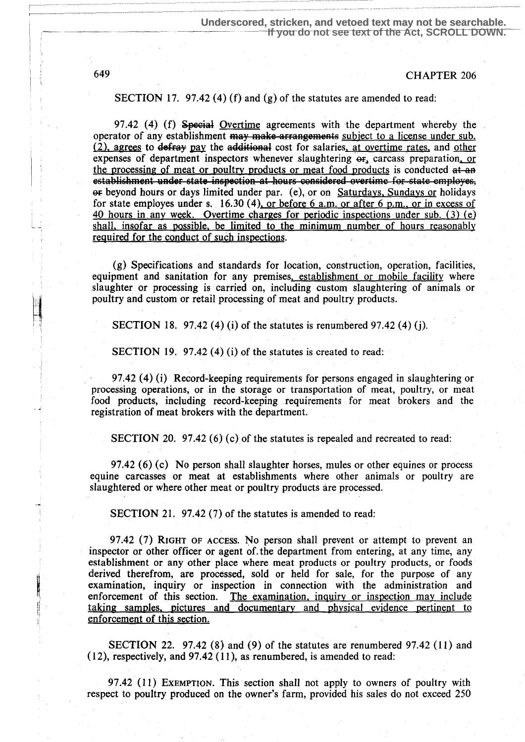## 649 CHAPTER 206

SECTION 17. 97.42 (4) (f) and (g) of the statutes are amended to read:

97.42 (4) (f) Special Overtime agreements with the department whereby the operator of any establishment may make arrangements subject to a license under sub.  $(2)$ , agrees to defray pay the additional cost for salaries, at overtime rates, and other expenses of department inspectors whenever slaughtering  $er<sub>s</sub>$  carcass preparation, or the processing of meat or poultry products or meat food products is conducted at an establishment under state inspection at hours considered overtime for state employes,  $\Theta$  beyond hours or days limited under par. (e), or on Saturdays. Sundays or holidays for state employes under s. 16.30 (4), or before  $6$  a.m. or after  $6$  p.m., or in excess of 40 hours in any week. Overtime charges for periodic inspections under sub. (3) (e) shall, insofar as possible, be limited to the minimum number of hours reasonably required for the conduct of such inspections.

(g) Specifications and standards for location, construction, operation, facilities, equipment and sanitation for any premises, establishment or mobile facility where slaughter or processing is carried on, including custom slaughtering of animals or poultry and custom or retail processing of meat and poultry products.

SECTION 18. 97.42 (4) (i) of the statutes is renumbered 97.42 (4) (j).

SECTION 19. 97.42  $(4)$  (i) of the statutes is created to read:

97.42 (4) (i) Record-keeping requirements for persons engaged in slaughtering or processing operations, or in the storage or transportation of meat, poultry, or meat food products, including record-keeping . requirements for meat brokers and the registration of meat brokers with the department.

SECTION 20. 97.42 (6) (c) of the statutes is repealed and recreated to read:

97.42 (6) (c) No person shall slaughter horses, mules or other equines or process equine carcasses or meat at establishments where other animals or poultry are slaughtered or where other meat or poultry products are processed.

SECTION 21. 97.42 (7) of the statutes is amended to read:

97.42 (7) RIGHT OF ACCESS. No person shall prevent or attempt to prevent an inspector or other officer or agent of, the department from entering, at any time, any establishment or any other place where meat products or poultry products, or foods derived therefrom, are processed, sold or held for sale, for the purpose of any examination, inquiry or inspection in connection with the administration and enforcement of this section. The examination, inquiry or inspection may include taking samples, pictures and documentary and physical evidence pertinent to enforcement of this section.

SECTION 22. 97.42 (8) and (9) of the statutes are renumbered 97.42 (11) and (12), respectively, and 97.42 (11), as renumbered, is amended to read:

97.42 (11) EXEMPTION. This section shall not apply to owners of poultry with respect to poultry produced on the owner's farm, provided his sales do not exceed 250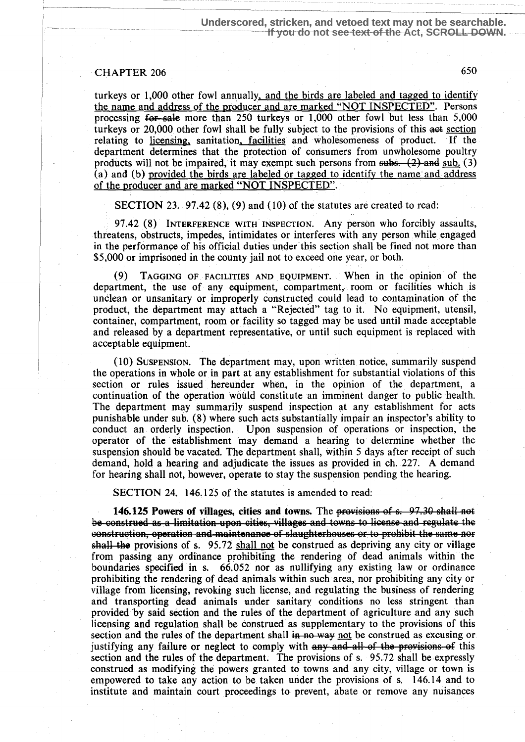## CHAPTER 206 650

turkeys or  $1,000$  other fowl annually, and the birds are labeled and tagged to identify the name and address of the producer and are marked "NOT INSPECTED". Persons processing for-sale more than 250 turkeys or 1,000 other fowl but less than 5,000 turkeys or 20,000 other fowl shall be fully subject to the provisions of this aet section relating to licensing, sanitation, facilities and wholesomeness of product. If the department determines that the protection of consumers from unwholesome poultry products will not be impaired, it may exempt such persons from  $\frac{\text{subs}}{\text{subs}}$ . (2) and sub. (3) (a) and (b) provided the birds are labeled or tagged to identify the name and address of the producer and are marked "NOT INSPECTED".

SECTION 23. 97.42 (8), (9) and (10) of the statutes are created to read:

97.42 (8) INTERFERENCE WITH INSPECTION . Any person who forcibly assaults, threatens, obstructs, impedes, intimidates or interferes with any person while engaged in the performance of his official duties under this section shall be fined not more than \$5,000 or imprisoned in the county jail not to exceed one year, or both.

TAGGING OF FACILITIES AND EQUIPMENT. When in the opinion of the  $(9)$ department, the use of any equipment, compartment, room or facilities which is unclean or unsanitary or improperly constructed could lead to contamination of the product, the department may attach a "Rejected" tag to it . No equipment, utensil, container, compartment, room or facility so tagged may be used until made acceptable and released by a department representative, or until such equipment is replaced with acceptable equipment.

(10) SUSPENSION. The department may, upon, written notice, summarily suspend the operations in whole or in part at any establishment for substantial violations of this section or rules issued hereunder when, in the opinion of the department, a continuation of the operation would constitute an imminent danger to public health . The department may summarily suspend inspection at any establishment for acts punishable under sub. (8) where such acts substantially impair an inspector's ability to conduct an orderly inspection. Upon suspension of operations or inspection, the operator of the establishment 'may demand a hearing to determine whether the suspension should be vacated. The department shall, within 5 days after receipt of such demand, hold a hearing and adjudicate the issues as provided in ch. 227: A demand for hearing shall not, however, operate to stay the suspension pending the hearing.

SECTION 24. 146.125 of the statutes is amended to read:

146.125 Powers of villages, cities and towns. The provisions of s. 97.30 shall not construction, operation and maintenance of slaughterhouses or to prohibit the same nor  $shall$  the provisions of s. 95.72 shall not be construed as depriving any city or village from passing any ordinance prohibiting the rendering of dead animals within the boundaries specified in s. 66.052 nor as nullifying any existing law or ordinance prohibiting the rendering of dead animals within such area, nor prohibiting any city or village from licensing, revoking such license, and regulating the business of rendering and transporting dead animals under sanitary conditions no less stringent than provided by said section and the rules of the department of agriculture and any such licensing and regulation shall be construed as supplementary to the provisions of this section and the rules of the department shall  $\overline{a}$  not be construed as excusing or justifying any failure or neglect to comply with  $\frac{any}{and}$  all of the provisions of this section and the rules of the department. The provisions of s. 95.72 shall be expressly construed as modifying the powers granted to towns and any city, village or town is empowered to take any action to be, taken under the provisions of s. 146.14 and to institute and maintain court proceedings to prevent, abate or remove any nuisances